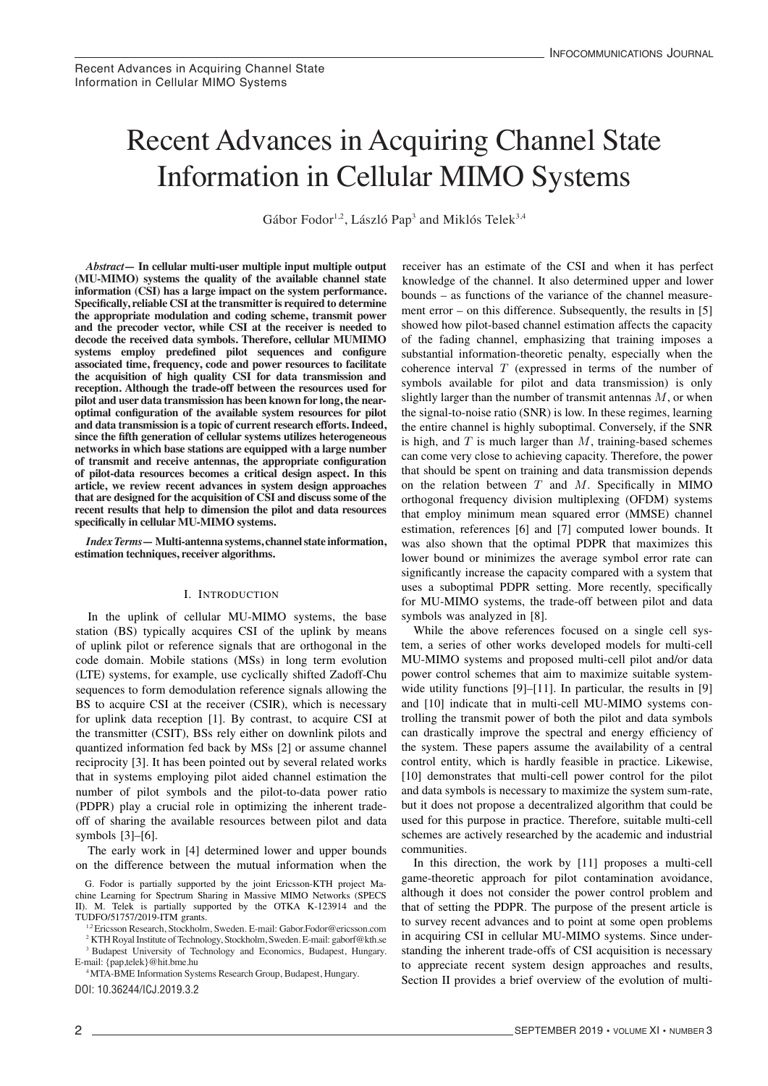#### Recent Advances in Acquiring Channel State Recent Advances in Acquiring Channel State Information in Cellular MIMO Systems  $\begin{array}{ccc} \n\hline\n\end{array}$  $\sum_{i=1}^{n}$ †KTH Royal Institute of Technology, Stockholm, Sweden. E-mail: gaborf@kth.se  $\mathcal{L}$ quiring Channel State yuning Channel State  $\frac{1}{\sqrt{2}}$ number of pilot systems and the pilot systems and the pilot systems and the pilot  $\alpha$  $\mathcal{L}$ Recent Advances in Acquiring Channel State  $\mathcal{L}$ Cellular Musulucar III Acquiring Channel St

Gábor Fodor<sup>1,2</sup>, László Pap<sup>3</sup> and Miklós Telek<sup>3,4</sup> of sharing the available resources between pilot and data  $\alpha$ Ericsson Research, Stockholm, Sweden. E-mail: Gabor.Fodor@ericsson.com

In cellular multi-user multiple input multiple output receiver has an estimate of the CSI and when it has perfect multiple input multiple output receiver has an estimate of the specifically, reliable CSI at the transmitter is required to determine the appropriate modulation and coding scheme, transmit power and the precoder vector, while CSI at the receiver is needed to decode the received data symbols. Therefore, cellular MUMIMO decode the received data symbols. decode the received data symbols. Therefore, centual MCMINIO<br>systems employ predefined pilot sequences and configure systems employ predefined pilot sequences and configure associated time, frequency, code and power resources to facilitate associated time, requency, code and power resources to racinate the acquisition of high quality CSI for data transmission and the acquisition of high quality CSI for data transmission and reception. Although the trade-off between the resources used for pilot and user data transmission has been known for long, the nearoptimal configuration of the available system resources for pilot and data transmission is a topic of current research efforts. Indeed, since the fifth generation of cellular systems utilizes heterogeneous networks in which base stations are equipped with a large number of transmit and receive antennas, the appropriate configuration of pilot-data resources becomes a critical design aspect. In this or phot-uata resources becomes a critical design aspect. In this<br>article, we review recent advances in system design approaches arucie, we review recent auvances in system uesign approaches that are designed for the acquisition of CSI and discuss some of the<br>masset negative that help to dimension the pilot and data masses recent results that help to dimension the pilot and data resources specifically in cellular MU-MIMO systems. information (CSI) has a large impact on the system performance. *Abstract*—In cellular multi-user multiple input multiple output **Abstract**—In cellular multi-user multiple input multiple output (MU-MIMO) systems the quality of the available channel state (MU-MIMO) systems the quality of the available channel state<br>information (CSI) has a large impact on the system performance. information (CSI) has a large impact on the system performance. **information (CSI) has a large impact on the system performance.**  associated time, frequency, code and power resources to facilitate **associated time, frequency, code and power resources to facilitate**  reception. Although the trade-off between the resources used **reception. Although the trade-off between the resources used for** 

Index Terms - Multi-antenna systems, channel state information, estimation techniques, receiver algorithms.

### I. INTRODUCTION

cellular MU-MIM of uplink pilot or reference signals that are orthogonal in the  $\frac{1}{2}$  code domain. Mobile stations (MSs) in long term evolution (LTE) systems, for example, use cyclically shifted Zadoff-Chu sequences to form demodulation reference signals allowing the sequences to form demodulation reference signals anowing the<br>BS to acquire CSI at the receiver (CSIR), which is necessary for uplink data reception [1]. By contrast, to acquire CSI at the transmitter (CSIT), BSs rely either on downlink pilots and quantized information fed back by MSs [2] or assume channel reciprocity [3]. It has been pointed out by several related works that in systems employing pilot aided channel estimation the number of pilot symbols and the pilot-to-data power ratio (PDPR) play a crucial role in optimizing the inherent trade-(IDIR) play a clucial fole in optimizing the inflerent trade-<br>off of sharing the available resources between pilot and data  $symbols$  [3]–[6].  $\begin{bmatrix} 1 & 0 \\ 0 & 1 \end{bmatrix}$  or reference signals that are orthogonal in the area in the are of the are orthogonal in the signal in the signal in the signal in the signal in the signal in the signal in the signal in the sign In the uplink of cellular MU-MIMO systems, the base station  $(BS)$  typically acquires CSI of the uplink by means BS to acquire CSI at the receiver (CSIR), which is necessary off of sharing the available resources between pilot and data

For symbols  $[3]$ - $[0]$ .<br>The early work in [4] determined lower and upper bounds Inc early work in [4] determined lower and upper bounds<br>on the difference between the mutual information when the

G. Fodor is partially supported by the joint Ericsson-KTH project Maon the mutual information when the mutual information when the channel. It also determine the channel of the channel. It also determine in Massive MIMO Networks (SPECS II). M. Telek is partially supported by the OTKA K-123914 and the TUDFO/51757/2019-ITM grants.

TUDFO/51757/2019-ITM grants.<br><sup>12</sup> Ericsson Research, Stockholm, Sweden. E-mail: Gabor.Fodor@ericsson.com chine Learning for Special Chine Learning for Special Chinese Microsoft Chinese Microsoft Microsoft Microsoft<br>2016 Networks (SPEC) in March 1988 (Special Chinese Microsoft Microsoft Microsoft Microsoft Microsoft Microsof

<sup>2</sup> KTH Royal Institute of Technology, Stockholm, Sweden. E-mail: gaborf @kth.se <sup>3</sup> Budapest University of Technology and Economics, Budapest, Hungary. E-mail:  $\{\text{pap,telek}\}$ @hit.bme.hu

<sup>4</sup> MTA-BME Information Systems Research Group, Budapest, Hungary.

[DOI: 10.36244/ICJ.2019.3.2](http://doi.org/10.36244/ICJ.2019.3.2)

bounds – as functions of the variance of the channel measurement error - on this difference. Subsequently, the results in [5] showed how pilot-based channel estimation affects the capacity showed how phot cased channel commation antects the capacity of the fading channel, emphasizing that training imposes a substantial information-theoretic penalty, especially when the coherence interval  $T$  (expressed in terms of the number of symbols available for pilot and data transmission) is only slightly larger than the number of transmit antennas  $M$ , or when the signal-to-noise ratio (SNR) is low. In these regimes, learning the entire channel is highly suboptimal. Conversely, if the SNR is high, and  $T$  is much larger than  $M$ , training-based schemes can come very close to achieving capacity. Therefore, the power that should be spent on training and data transmission depends on the relation between  $T$  and  $M$ . Specifically in MIMO orthogonal frequency division multiplexing (OFDM) systems that employ minimum mean squared error (MMSE) channel estimation, references [6] and [7] computed lower bounds. It was also shown that the optimal PDPR that maximizes this lower bound or minimizes the average symbol error rate can significantly increase the capacity compared with a system that uses a suboptimal PDPR setting. More recently, specifically for MU-MIMO systems, the trade-off between pilot and data symbols was analyzed in  $[8]$ . knowledge of the channel. It also determined upper and lower or the rading channel, emphasizing that training imposes a

while the above references focused on a single cell system, a series of other works developed models for multi-cell MU-MIMO systems and proposed multi-cell pilot and/or data power control schemes that aim to maximize suitable systemwide utility functions [9]-[11]. In particular, the results in [9] wide utility functions [9]-[11]. In particular, the results in [9] and [10] indicate that in multi-cell MU-MIMO systems controlling the transmit power of both the pilot and data symbols can drastically improve the spectral and energy efficiency of the system. These papers assume the availability of a central control entity, which is hardly feasible in practice. Likewise, [10] demonstrates that multi-cell power control for the pilot and data symbols is necessary to maximize the system sum-rate, In the work by the work by the work by community industrial proposes a decentralized algorithm that could be used for this purpose in practice. Therefore, suitable multi-cell schemes are actively researched by the academic and industrial communities. schemes are actively researched by the academic and industrial<br>communities

communities.<br>In this direction, the work by [11] proposes a multi-cell game-theoretic approach for pilot contamination avoidance, although it does not consider the power control problem and that of setting the PDPR. The purpose of the present article is to survey recent advances and to point at some open problems in acquiring CSI in cellular MU-MIMO systems. Since understanding the inherent trade-offs of CSI acquisition is necessary to appreciate recent system design approaches and results, Section II provides a brief overview of the evolution of multi-In this direction, the work by [11] proposes a multi-cell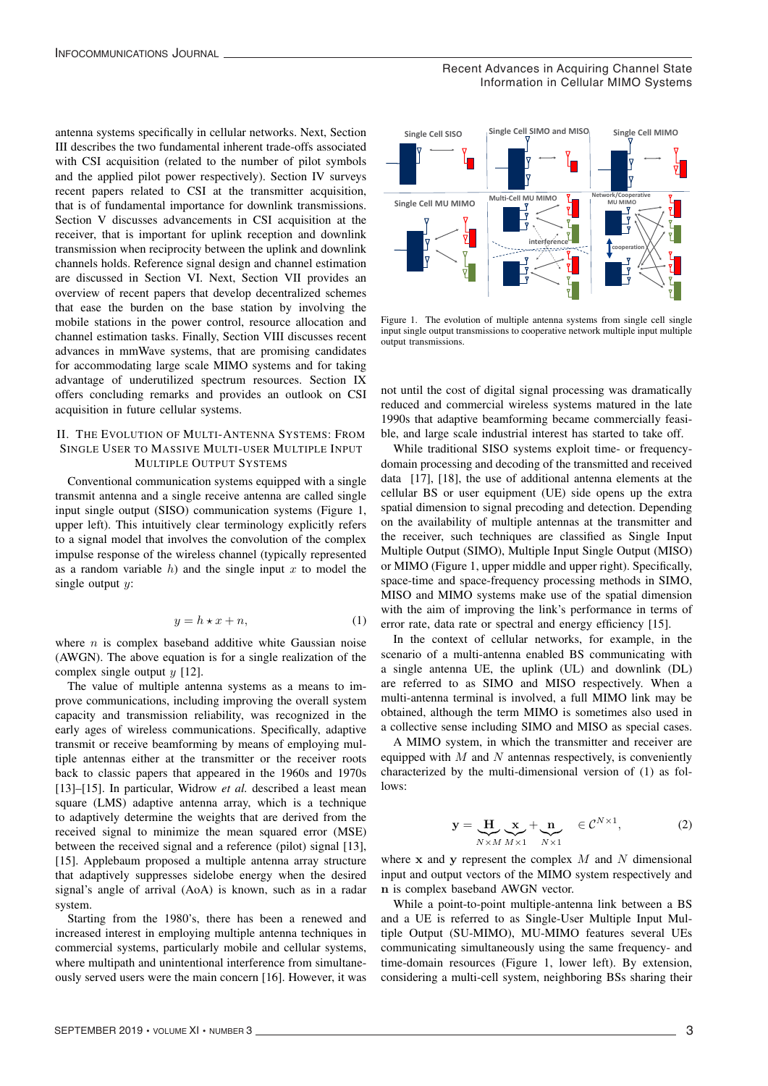antenna systems specifically in cellular networks. Next, Section III describes the two fundamental inherent trade-offs associated with CSI acquisition (related to the number of pilot symbols and the applied pilot power respectively). Section IV surveys recent papers related to CSI at the transmitter acquisition, that is of fundamental importance for downlink transmissions. Section V discusses advancements in CSI acquisition at the receiver, that is important for uplink reception and downlink transmission when reciprocity between the uplink and downlink channels holds. Reference signal design and channel estimation are discussed in Section VI. Next, Section VII provides an overview of recent papers that develop decentralized schemes that ease the burden on the base station by involving the mobile stations in the power control, resource allocation and channel estimation tasks. Finally, Section VIII discusses recent advances in mmWave systems, that are promising candidates for accommodating large scale MIMO systems and for taking advantage of underutilized spectrum resources. Section IX offers concluding remarks and provides an outlook on CSI acquisition in future cellular systems.

# II. THE EVOLUTION OF MULTI-ANTENNA SYSTEMS: FROM SINGLE USER TO MASSIVE MULTI-USER MULTIPLE INPUT MULTIPLE OUTPUT SYSTEMS

Conventional communication systems equipped with a single transmit antenna and a single receive antenna are called single input single output (SISO) communication systems (Figure 1, upper left). This intuitively clear terminology explicitly refers to a signal model that involves the convolution of the complex impulse response of the wireless channel (typically represented as a random variable  $h$ ) and the single input  $x$  to model the single output  $y$ :

$$
y = h \star x + n,\tag{1}
$$

where  $n$  is complex baseband additive white Gaussian noise (AWGN). The above equation is for a single realization of the complex single output  $y$  [12].

The value of multiple antenna systems as a means to improve communications, including improving the overall system capacity and transmission reliability, was recognized in the early ages of wireless communications. Specifically, adaptive transmit or receive beamforming by means of employing multiple antennas either at the transmitter or the receiver roots back to classic papers that appeared in the 1960s and 1970s [13]–[15]. In particular, Widrow *et al.* described a least mean square (LMS) adaptive antenna array, which is a technique to adaptively determine the weights that are derived from the received signal to minimize the mean squared error (MSE) between the received signal and a reference (pilot) signal [13], [15]. Applebaum proposed a multiple antenna array structure that adaptively suppresses sidelobe energy when the desired signal's angle of arrival (AoA) is known, such as in a radar system.

Starting from the 1980's, there has been a renewed and increased interest in employing multiple antenna techniques in commercial systems, particularly mobile and cellular systems, where multipath and unintentional interference from simultaneously served users were the main concern [16]. However, it was

2

Recent Advances in Acquiring Channel State Information in Cellular MIMO Systems



Figure 1. The evolution of multiple antenna systems from single cell single input single output transmissions to cooperative network multiple input multiple output transmissions.

not until the cost of digital signal processing was dramatically reduced and commercial wireless systems matured in the late 1990s that adaptive beamforming became commercially feasible, and large scale industrial interest has started to take off.

While traditional SISO systems exploit time- or frequencydomain processing and decoding of the transmitted and received data [17], [18], the use of additional antenna elements at the cellular BS or user equipment (UE) side opens up the extra spatial dimension to signal precoding and detection. Depending on the availability of multiple antennas at the transmitter and the receiver, such techniques are classified as Single Input Multiple Output (SIMO), Multiple Input Single Output (MISO) or MIMO (Figure 1, upper middle and upper right). Specifically, space-time and space-frequency processing methods in SIMO, MISO and MIMO systems make use of the spatial dimension with the aim of improving the link's performance in terms of error rate, data rate or spectral and energy efficiency [15].

In the context of cellular networks, for example, in the scenario of a multi-antenna enabled BS communicating with a single antenna UE, the uplink (UL) and downlink (DL) are referred to as SIMO and MISO respectively. When a multi-antenna terminal is involved, a full MIMO link may be obtained, although the term MIMO is sometimes also used in a collective sense including SIMO and MISO as special cases.

A MIMO system, in which the transmitter and receiver are equipped with  $M$  and  $N$  antennas respectively, is conveniently characterized by the multi-dimensional version of (1) as follows:

$$
\mathbf{y} = \mathbf{H} \mathbf{x}_{N \times M M \times 1} + \mathbf{m} \in \mathcal{C}^{N \times 1},\tag{2}
$$

where  $x$  and  $y$  represent the complex  $M$  and  $N$  dimensional input and output vectors of the MIMO system respectively and n is complex baseband AWGN vector.

While a point-to-point multiple-antenna link between a BS and a UE is referred to as Single-User Multiple Input Multiple Output (SU-MIMO), MU-MIMO features several UEs communicating simultaneously using the same frequency- and time-domain resources (Figure 1, lower left). By extension, considering a multi-cell system, neighboring BSs sharing their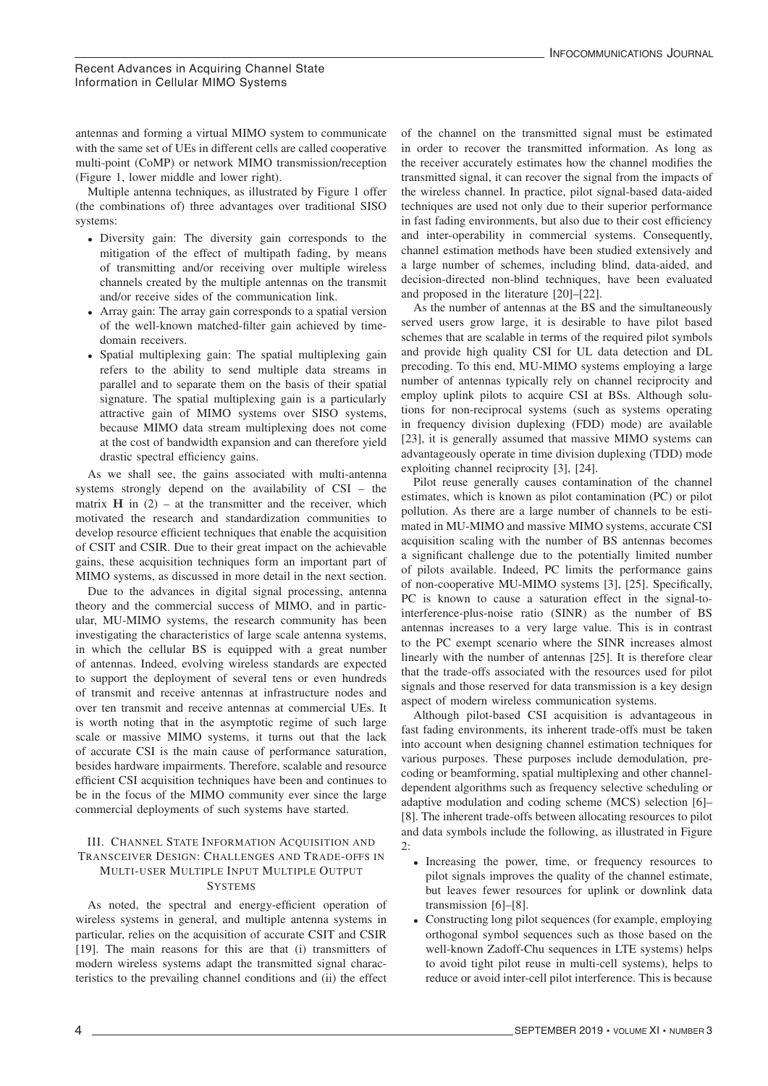antennas and forming a virtual MIMO system to communicate with the same set of UEs in different cells are called cooperative multi-point (CoMP) or network MIMO transmission/reception (Figure 1, lower middle and lower right).

Multiple antenna techniques, as illustrated by Figure 1 offer (the combinations of) three advantages over traditional SISO systems:

- Diversity gain: The diversity gain corresponds to the mitigation of the effect of multipath fading, by means of transmitting and/or receiving over multiple wireless channels created by the multiple antennas on the transmit and/or receive sides of the communication link.
- Array gain: The array gain corresponds to a spatial version of the well-known matched-filter gain achieved by timedomain receivers.
- Spatial multiplexing gain: The spatial multiplexing gain refers to the ability to send multiple data streams in parallel and to separate them on the basis of their spatial signature. The spatial multiplexing gain is a particularly attractive gain of MIMO systems over SISO systems, because MIMO data stream multiplexing does not come at the cost of bandwidth expansion and can therefore yield drastic spectral efficiency gains.

As we shall see, the gains associated with multi-antenna systems strongly depend on the availability of CSI – the matrix  $H$  in (2) – at the transmitter and the receiver, which motivated the research and standardization communities to develop resource efficient techniques that enable the acquisition of CSIT and CSIR. Due to their great impact on the achievable gains, these acquisition techniques form an important part of MIMO systems, as discussed in more detail in the next section.

Due to the advances in digital signal processing, antenna theory and the commercial success of MIMO, and in particular, MU-MIMO systems, the research community has been investigating the characteristics of large scale antenna systems, in which the cellular BS is equipped with a great number of antennas. Indeed, evolving wireless standards are expected to support the deployment of several tens or even hundreds of transmit and receive antennas at infrastructure nodes and over ten transmit and receive antennas at commercial UEs. It is worth noting that in the asymptotic regime of such large scale or massive MIMO systems, it turns out that the lack of accurate CSI is the main cause of performance saturation, besides hardware impairments. Therefore, scalable and resource efficient CSI acquisition techniques have been and continues to be in the focus of the MIMO community ever since the large commercial deployments of such systems have started.

# III. CHANNEL STATE INFORMATION ACQUISITION AND TRANSCEIVER DESIGN: CHALLENGES AND TRADE-OFFS IN MULTI-USER MULTIPLE INPUT MULTIPLE OUTPUT **SYSTEMS**

As noted, the spectral and energy-efficient operation of wireless systems in general, and multiple antenna systems in particular, relies on the acquisition of accurate CSIT and CSIR [19]. The main reasons for this are that (i) transmitters of modern wireless systems adapt the transmitted signal characteristics to the prevailing channel conditions and (ii) the effect

3

of the channel on the transmitted signal must be estimated in order to recover the transmitted information. As long as the receiver accurately estimates how the channel modifies the transmitted signal, it can recover the signal from the impacts of the wireless channel. In practice, pilot signal-based data-aided techniques are used not only due to their superior performance in fast fading environments, but also due to their cost efficiency and inter-operability in commercial systems. Consequently, channel estimation methods have been studied extensively and a large number of schemes, including blind, data-aided, and decision-directed non-blind techniques, have been evaluated and proposed in the literature [20]–[22].

As the number of antennas at the BS and the simultaneously served users grow large, it is desirable to have pilot based schemes that are scalable in terms of the required pilot symbols and provide high quality CSI for UL data detection and DL precoding. To this end, MU-MIMO systems employing a large number of antennas typically rely on channel reciprocity and employ uplink pilots to acquire CSI at BSs. Although solutions for non-reciprocal systems (such as systems operating in frequency division duplexing (FDD) mode) are available [23], it is generally assumed that massive MIMO systems can advantageously operate in time division duplexing (TDD) mode exploiting channel reciprocity [3], [24].

Pilot reuse generally causes contamination of the channel estimates, which is known as pilot contamination (PC) or pilot pollution. As there are a large number of channels to be estimated in MU-MIMO and massive MIMO systems, accurate CSI acquisition scaling with the number of BS antennas becomes a significant challenge due to the potentially limited number of pilots available. Indeed, PC limits the performance gains of non-cooperative MU-MIMO systems [3], [25]. Specifically, PC is known to cause a saturation effect in the signal-tointerference-plus-noise ratio (SINR) as the number of BS antennas increases to a very large value. This is in contrast to the PC exempt scenario where the SINR increases almost linearly with the number of antennas [25]. It is therefore clear that the trade-offs associated with the resources used for pilot signals and those reserved for data transmission is a key design aspect of modern wireless communication systems.

Although pilot-based CSI acquisition is advantageous in fast fading environments, its inherent trade-offs must be taken into account when designing channel estimation techniques for various purposes. These purposes include demodulation, precoding or beamforming, spatial multiplexing and other channeldependent algorithms such as frequency selective scheduling or adaptive modulation and coding scheme (MCS) selection [6]– [8]. The inherent trade-offs between allocating resources to pilot and data symbols include the following, as illustrated in Figure 2:

- Increasing the power, time, or frequency resources to pilot signals improves the quality of the channel estimate, but leaves fewer resources for uplink or downlink data transmission [6]–[8].
- Constructing long pilot sequences (for example, employing orthogonal symbol sequences such as those based on the well-known Zadoff-Chu sequences in LTE systems) helps to avoid tight pilot reuse in multi-cell systems), helps to reduce or avoid inter-cell pilot interference. This is because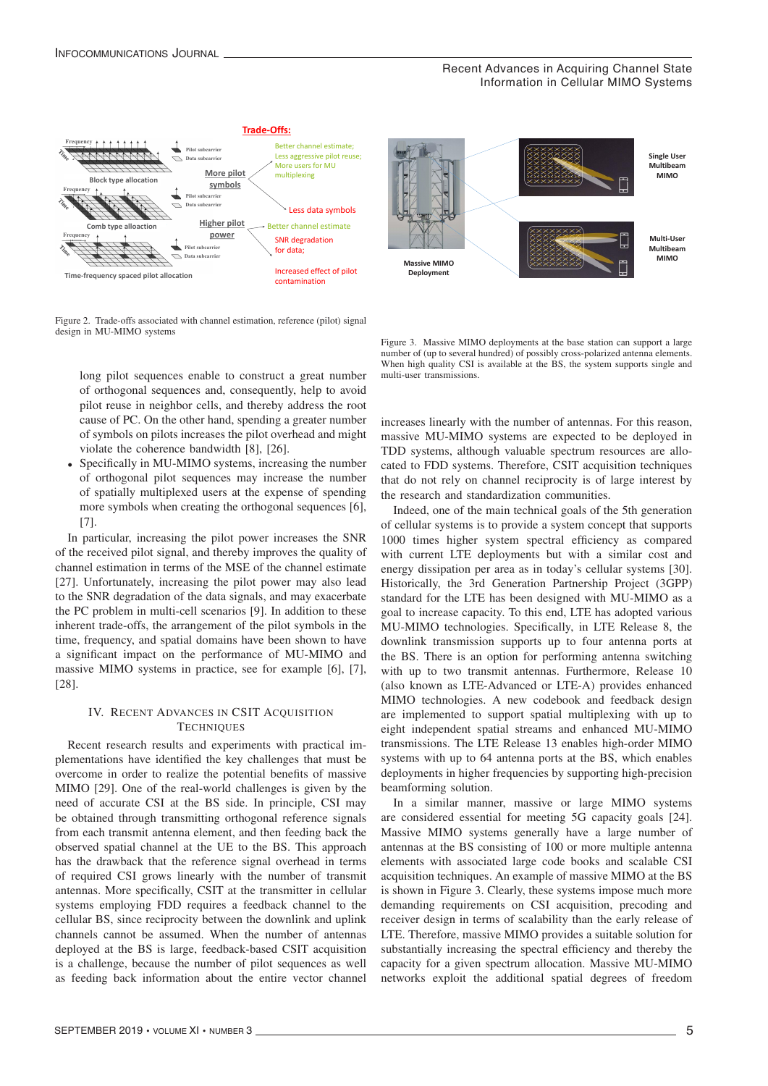

Figure 2. Trade-offs associated with channel estimation, reference (pilot) signal design in MU-MIMO systems design in MU-MIMO systems design in MU-MIMO systems

long pilot sequences enable to construct a great number long pilot sequences enable to construct a great number long pilot sequences enable to construct a great number of orthogonal sequences and, consequently, help to avoid of orthogonal sequences and, consequently, help to avoid of orthogonal sequences and, consequently, help to avoid pilot reuse in neighbor cells, and thereby address the root pilot reuse in neighbor cells, and thereby address the root pilot reuse in neighbor cells, and thereby address the root cause of PC. On the other hand, spending a greater number cause of PC. On the other hand, spending a greater number cause of PC. On the other hand, spending a greater number of symbols on pilots increases the pilot overhead and might violate the coherence bandwidth [8], [26]. violate the coherence bandwidth [8], [26]. violate the coherence bandwidth [8], [26].

• Specifically in MU-MIMO systems, increasing the number • Specifically in MU-MIMO systems, increasing the number • Specifically in MU-MIMO systems, increasing the number of orthogonal pilot sequences may increase the number of orthogonal pilot sequences may increase the number of orthogonal pilot sequences may increase the number of spatially multiplexed users at the expense of spending of spatially multiplexed users at the expense of spending of spatially multiplexed users at the expense of spending more symbols when creating the orthogonal sequences [6], more symbols when creating the orthogonal sequences [6], more symbols when creating the orthogonal sequences [6], [7]. [7]. [7].

In particular, increasing the pilot power increases the SNR In particular, increasing the pilot power increases the SNR In particular, increasing the pilot power increases the SNR of the received pilot signal, and thereby improves the quality of channel estimation in terms of the MSE of the channel estimate [27]. Unfortunately, increasing the pilot power may also lead [27]. Unfortunately, increasing the pilot power may also lead [27]. Unfortunately, increasing the pilot power may also lead to the SNR degradation of the data signals, and may exacerbate<br>the data signals, and may exacerbate the PC problem in multi-cell scenarios [9]. In addition to these the PC problem in multi-cell scenarios [9]. In addition to these the PC problem in multi-cell scenarios [9]. In addition to these inherent trade-offs, the arrangement of the pilot symbols in the time, frequency, and spatial domains have been shown to have time, frequency, and spatial domains have been shown to have time, frequency, and spatial domains have been shown to have a significant impact on the performance of MU-MIMO and a significant impact on the performance of MU-MIMO and a significant impact on the performance of MC-MIMO and massive MIMO systems in practice, see for example  $[6]$ ,  $[7]$ ,  $[78]$ [28]. [28]. [28]. inherent trade-offs, the arrangement of the pilot symbols in the

# TECHNIQUES IV. RECENT ADVANCES IN CSIT ACQUISITION

 $T_{\text{eff}}$  and  $T_{\text{eff}}$ plementations have identified the key challenges that must be overcome in order to realize the potential benefits of massive MIMO [29]. One of the real-world challenges is given by the need of accurate CSI at the BS side. In principle, CSI may be obtained through transmitting orthogonal reference signals from each transmit antenna element, and then feeding back the observed spatial channel at the UE to the BS. This approach has the drawback that the reference signal overhead in terms of required CSI grows linearly with the number of transmit antennas. More specifically, CSIT at the transmitter in cellular antennas. More specifically, CSIT at the transmitter in centrial systems employing FDD requires a feedback channel to the systems employing FDD requires a recoback channel to the cellular BS, since reciprocity between the downlink and uplink cendiar BS, since reciprocity between the downlink and uplink<br>channels cannot be assumed. When the number of antennas channels cannot be assumed. When the number of antennas channels cannot be assumed. When the number of antennas deployed at the BS is large, feedback-based CSIT acquisition deployed at the BS is large, feedback-based CSIT acquisition deployed at the BS is large, feedback-based CSIT acquisition is a challenge, because the number of pilot sequences as well is a challenge, because the number of pilot sequences as well<br>as feeding back information about the entire vector channel Recent research results and experiments with practical im-Recent research results and experiments with practical imas feeding back information about the entire vector channel as feeding back information about the entire vector channel



Figure 3. Massive MIMO deployments at the base station can support a large Figure 3. Massive MIMO deployments at the base station can support a large Figure 3. Massive MIMO deployments at the base station can support a large number of (up to several hundred) of possibly cross-polarized antenna elements. When high quality CSI is available at the BS, the system supports single and multi-user transmissions. multi-user transmissions.

multi-user transmissions.<br>increases linearly with the number of antennas. For this reason, massive MU-MIMO systems are expected to be deployed in massive MU-MIMO systems are expected to be deployed in massive MU-MIMO systems are expected to be deployed in TDD systems, although valuable spectrum resources are allo-TDD systems, although valuable spectrum resources are allo-TDD systems, although valuable spectrum resources are allocated to FDD systems. Therefore, CSIT acquisition techniques cated to FDD systems. Therefore, CSIT acquisition techniques cated to FDD systems. Therefore, CSIT acquisition techniques that do not rely on channel reciprocity is of large interest by that do not rely on channel reciprocity is of large interest by that do not rely on channel reciprocity is of large interest by the research and standardization communities. the research and standardization communities. the research and standardization communities.

Indeed, one of the main technical goals of the 5th generation Indeed, one of the main technical goals of the 5th generation Indeed, one of the main technical goals of the 5th generation of cellular systems is to provide a system concept that supports of cellular systems is to provide a system concept that supports of cellular systems is to provide a system concept that supports 1000 times higher system spectral efficiency as compared 1000 times higher system spectral efficiency as compared 1000 times higher system spectral efficiency as compared with current LTE deployments but with a similar cost and energy dissipation per area as in today's cellular systems [30]. energy dissipation per area as in today's cellular systems [30]. energy dissipation per area as in today's cellular systems [30]. Historically, the 3rd Generation Partnership Project (3GPP) Historically, the 3rd Generation Partnership Project (3GPP) Historically, the 3rd Generation Partnership Project (3GPP) standard for the LTE has been designed with MU-MIMO as a standard for the LTE has been designed with MU-MIMO as a standard for the LTE has been designed with MU-MIMO as a goal to increase capacity. To this end, LTE has adopted various MU-MIMO technologies. Specifically, in LTE Release 8, the MU-MIMO technologies. Specifically, in LTE Release 8, the MU-MIMO technologies. Specifically, in LTE Release 8, the downlink transmission supports up to four antenna ports at downlink transmission supports up to four antenna ports at downlink transmission supports up to four antenna ports at the BS. There is an option for performing antenna switching the BS. There is an option for performing antenna switching with up to two transmit antennas. Furthermore, Release 10 with up to two transmit antennas. Furthermore, Release 10 (also known as LTE-Advanced or LTE-A) provides enhanced (also known as LTE-Advanced or LTE-A) provides enhanced (also known as LTE-Advanced or LTE-A) provides enhanced MIMO technologies. A new codebook and feedback design MIMO technologies. A new codebook and feedback design MIMO technologies. A new codebook and feedback design are implemented to support spatial multiplexing with up to are implemented to support spatial multiplexing with up to eight independent spatial streams and enhanced MU-MIMO transmissions. The LTE Release 13 enables high-order MIMO systems with up to 64 antenna ports at the BS, which enables deployments in higher frequencies by supporting high-precision beamforming solution. goal to increase capacity. To this end, LTE has adopted various goal to increase capacity. To this end, LTE has adopted various

In a similar manner, massive or large MIMO systems are considered essential for meeting 5G capacity goals [24]. Massive MIMO systems generally have a large number of antennas at the BS consisting of 100 or more multiple antenna elements with associated large code books and scalable CSI acquisition techniques. An example of massive MIMO at the BS is shown in Figure 3. Clearly, these systems impose much more is shown in Figure 3. Clearly, these systems impose much more is shown in Figure 3. Clearly, these systems impose much more demanding requirements on CSI acquisition, precoding and demanding requirements on CSI acquisition, precoding and demanding requirements on CSI acquisition, precoding and receiver design in terms of scalability than the early release of receiver design in terms of scalability than the early release of receiver design in terms of scalability than the early release of LTE. Therefore, massive MIMO provides a suitable solution for LTE. Therefore, massive MIMO provides a suitable solution for LTE. Therefore, massive MIMO provides a suitable solution for substantially increasing the spectral efficiency and thereby the substantially increasing the spectral efficiency and thereby the capacity for a given spectrum allocation. Massive MU-MIMO equality for a given spectrum allocation. Massive MU-MIMO<br>networks exploit the additional spatial degrees of freedom networks exploit the additional spatial degrees of freedom networks exploit the additional spatial degrees of freedom

4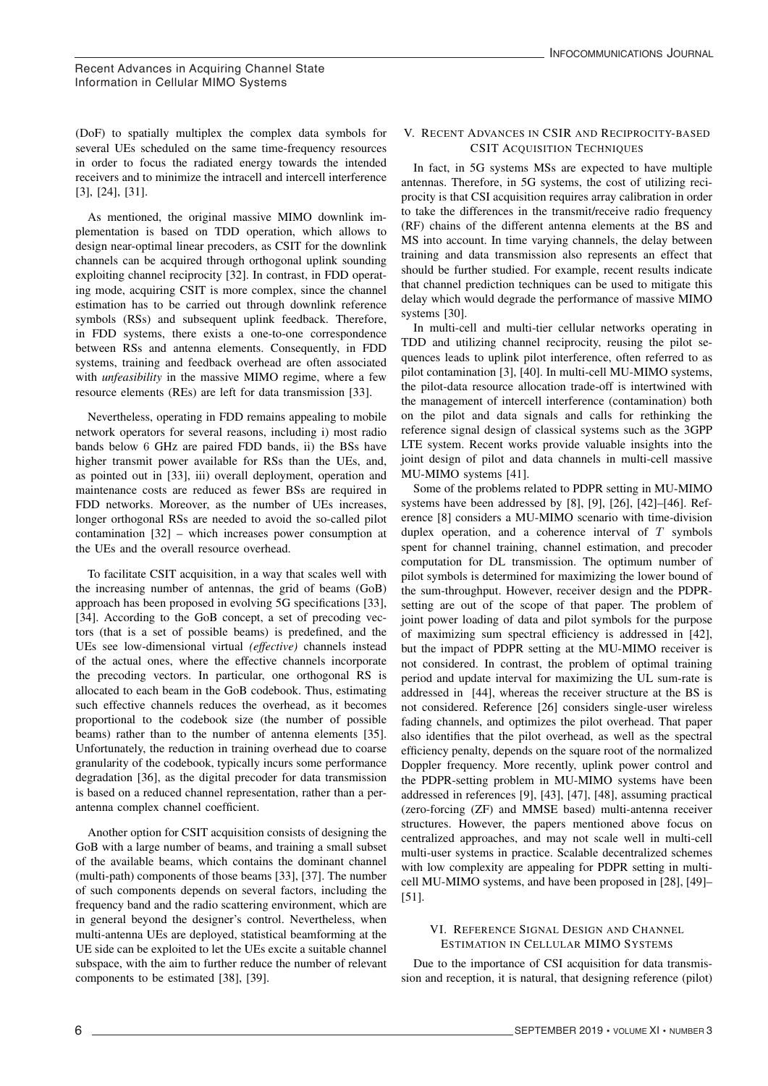(DoF) to spatially multiplex the complex data symbols for several UEs scheduled on the same time-frequency resources in order to focus the radiated energy towards the intended receivers and to minimize the intracell and intercell interference [3], [24], [31].

As mentioned, the original massive MIMO downlink implementation is based on TDD operation, which allows to design near-optimal linear precoders, as CSIT for the downlink channels can be acquired through orthogonal uplink sounding exploiting channel reciprocity [32]. In contrast, in FDD operating mode, acquiring CSIT is more complex, since the channel estimation has to be carried out through downlink reference symbols (RSs) and subsequent uplink feedback. Therefore, in FDD systems, there exists a one-to-one correspondence between RSs and antenna elements. Consequently, in FDD systems, training and feedback overhead are often associated with *unfeasibility* in the massive MIMO regime, where a few resource elements (REs) are left for data transmission [33].

Nevertheless, operating in FDD remains appealing to mobile network operators for several reasons, including i) most radio bands below 6 GHz are paired FDD bands, ii) the BSs have higher transmit power available for RSs than the UEs, and, as pointed out in [33], iii) overall deployment, operation and maintenance costs are reduced as fewer BSs are required in FDD networks. Moreover, as the number of UEs increases, longer orthogonal RSs are needed to avoid the so-called pilot contamination [32] – which increases power consumption at the UEs and the overall resource overhead.

To facilitate CSIT acquisition, in a way that scales well with the increasing number of antennas, the grid of beams (GoB) approach has been proposed in evolving 5G specifications [33], [34]. According to the GoB concept, a set of precoding vectors (that is a set of possible beams) is predefined, and the UEs see low-dimensional virtual *(effective)* channels instead of the actual ones, where the effective channels incorporate the precoding vectors. In particular, one orthogonal RS is allocated to each beam in the GoB codebook. Thus, estimating such effective channels reduces the overhead, as it becomes proportional to the codebook size (the number of possible beams) rather than to the number of antenna elements [35]. Unfortunately, the reduction in training overhead due to coarse granularity of the codebook, typically incurs some performance degradation [36], as the digital precoder for data transmission is based on a reduced channel representation, rather than a perantenna complex channel coefficient.

Another option for CSIT acquisition consists of designing the GoB with a large number of beams, and training a small subset of the available beams, which contains the dominant channel (multi-path) components of those beams [33], [37]. The number of such components depends on several factors, including the frequency band and the radio scattering environment, which are in general beyond the designer's control. Nevertheless, when multi-antenna UEs are deployed, statistical beamforming at the UE side can be exploited to let the UEs excite a suitable channel subspace, with the aim to further reduce the number of relevant components to be estimated [38], [39].

# V. RECENT ADVANCES IN CSIR AND RECIPROCITY-BASED CSIT ACQUISITION TECHNIQUES

In fact, in 5G systems MSs are expected to have multiple antennas. Therefore, in 5G systems, the cost of utilizing reciprocity is that CSI acquisition requires array calibration in order to take the differences in the transmit/receive radio frequency (RF) chains of the different antenna elements at the BS and MS into account. In time varying channels, the delay between training and data transmission also represents an effect that should be further studied. For example, recent results indicate that channel prediction techniques can be used to mitigate this delay which would degrade the performance of massive MIMO systems [30].

In multi-cell and multi-tier cellular networks operating in TDD and utilizing channel reciprocity, reusing the pilot sequences leads to uplink pilot interference, often referred to as pilot contamination [3], [40]. In multi-cell MU-MIMO systems, the pilot-data resource allocation trade-off is intertwined with the management of intercell interference (contamination) both on the pilot and data signals and calls for rethinking the reference signal design of classical systems such as the 3GPP LTE system. Recent works provide valuable insights into the joint design of pilot and data channels in multi-cell massive MU-MIMO systems [41].

Some of the problems related to PDPR setting in MU-MIMO systems have been addressed by [8], [9], [26], [42]–[46]. Reference [8] considers a MU-MIMO scenario with time-division duplex operation, and a coherence interval of  $T$  symbols spent for channel training, channel estimation, and precoder computation for DL transmission. The optimum number of pilot symbols is determined for maximizing the lower bound of the sum-throughput. However, receiver design and the PDPRsetting are out of the scope of that paper. The problem of joint power loading of data and pilot symbols for the purpose of maximizing sum spectral efficiency is addressed in [42], but the impact of PDPR setting at the MU-MIMO receiver is not considered. In contrast, the problem of optimal training period and update interval for maximizing the UL sum-rate is addressed in [44], whereas the receiver structure at the BS is not considered. Reference [26] considers single-user wireless fading channels, and optimizes the pilot overhead. That paper also identifies that the pilot overhead, as well as the spectral efficiency penalty, depends on the square root of the normalized Doppler frequency. More recently, uplink power control and the PDPR-setting problem in MU-MIMO systems have been addressed in references [9], [43], [47], [48], assuming practical (zero-forcing (ZF) and MMSE based) multi-antenna receiver structures. However, the papers mentioned above focus on centralized approaches, and may not scale well in multi-cell multi-user systems in practice. Scalable decentralized schemes with low complexity are appealing for PDPR setting in multicell MU-MIMO systems, and have been proposed in [28], [49]– [51].

# VI. REFERENCE SIGNAL DESIGN AND CHANNEL ESTIMATION IN CELLULAR MIMO SYSTEMS

Due to the importance of CSI acquisition for data transmission and reception, it is natural, that designing reference (pilot)

5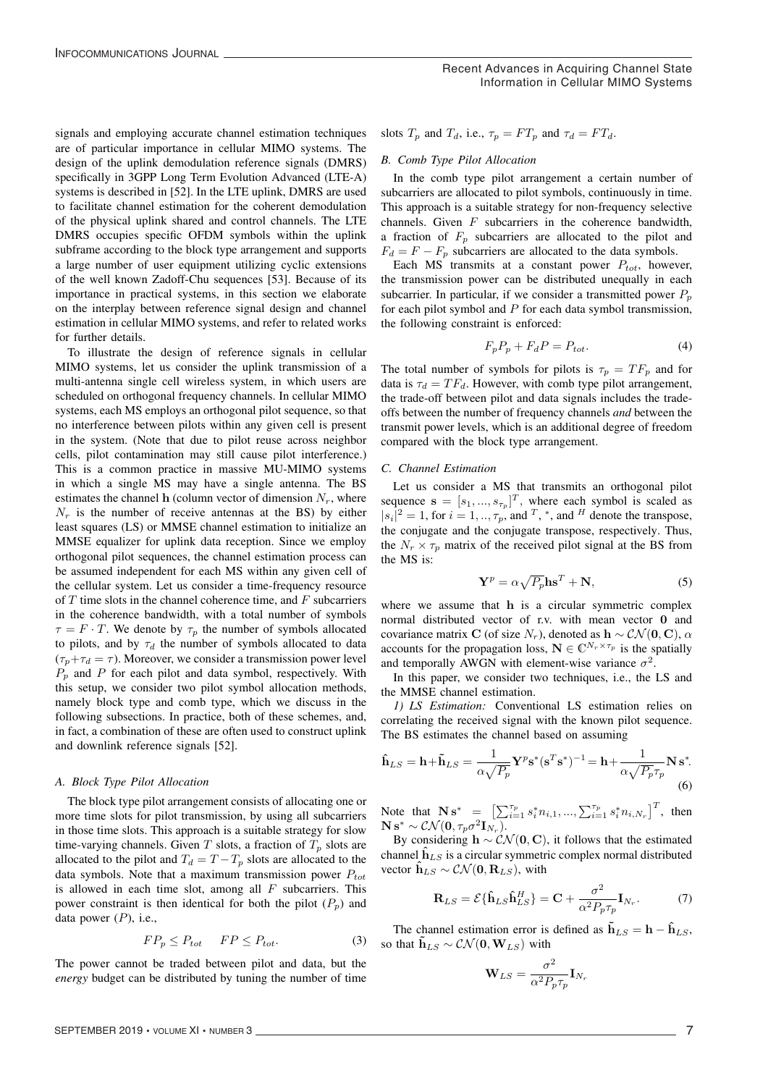signals and employing accurate channel estimation techniques are of particular importance in cellular MIMO systems. The design of the uplink demodulation reference signals (DMRS) specifically in 3GPP Long Term Evolution Advanced (LTE-A) systems is described in [52]. In the LTE uplink, DMRS are used to facilitate channel estimation for the coherent demodulation of the physical uplink shared and control channels. The LTE DMRS occupies specific OFDM symbols within the uplink subframe according to the block type arrangement and supports a large number of user equipment utilizing cyclic extensions of the well known Zadoff-Chu sequences [53]. Because of its importance in practical systems, in this section we elaborate on the interplay between reference signal design and channel estimation in cellular MIMO systems, and refer to related works for further details.

To illustrate the design of reference signals in cellular MIMO systems, let us consider the uplink transmission of a multi-antenna single cell wireless system, in which users are scheduled on orthogonal frequency channels. In cellular MIMO systems, each MS employs an orthogonal pilot sequence, so that no interference between pilots within any given cell is present in the system. (Note that due to pilot reuse across neighbor cells, pilot contamination may still cause pilot interference.) This is a common practice in massive MU-MIMO systems in which a single MS may have a single antenna. The BS estimates the channel h (column vector of dimension  $N_r$ , where  $N_r$  is the number of receive antennas at the BS) by either least squares (LS) or MMSE channel estimation to initialize an MMSE equalizer for uplink data reception. Since we employ orthogonal pilot sequences, the channel estimation process can be assumed independent for each MS within any given cell of the cellular system. Let us consider a time-frequency resource of  $T$  time slots in the channel coherence time, and  $F$  subcarriers in the coherence bandwidth, with a total number of symbols  $\tau = F \cdot T$ . We denote by  $\tau_p$  the number of symbols allocated to pilots, and by  $\tau_d$  the number of symbols allocated to data  $(\tau_p + \tau_d = \tau)$ . Moreover, we consider a transmission power level  $P_p$  and P for each pilot and data symbol, respectively. With this setup, we consider two pilot symbol allocation methods, namely block type and comb type, which we discuss in the following subsections. In practice, both of these schemes, and, in fact, a combination of these are often used to construct uplink and downlink reference signals [52].

#### *A. Block Type Pilot Allocation*

The block type pilot arrangement consists of allocating one or more time slots for pilot transmission, by using all subcarriers in those time slots. This approach is a suitable strategy for slow time-varying channels. Given  $T$  slots, a fraction of  $T_p$  slots are allocated to the pilot and  $T_d = T - T_p$  slots are allocated to the data symbols. Note that a maximum transmission power  $P_{tot}$ is allowed in each time slot, among all  $F$  subcarriers. This power constraint is then identical for both the pilot  $(P_p)$  and data power  $(P)$ , i.e.,

$$
FP_p \le P_{tot} \qquad FP \le P_{tot}.\tag{3}
$$

6

The power cannot be traded between pilot and data, but the *energy* budget can be distributed by tuning the number of time

slots  $T_p$  and  $T_d$ , i.e.,  $\tau_p = FT_p$  and  $\tau_d = FT_d$ .

#### *B. Comb Type Pilot Allocation*

In the comb type pilot arrangement a certain number of subcarriers are allocated to pilot symbols, continuously in time. This approach is a suitable strategy for non-frequency selective channels. Given  $F$  subcarriers in the coherence bandwidth, a fraction of  $F_p$  subcarriers are allocated to the pilot and  $F_d = F - F_p$  subcarriers are allocated to the data symbols.

Each  $\overline{MS}$  transmits at a constant power  $P_{tot}$ , however, the transmission power can be distributed unequally in each subcarrier. In particular, if we consider a transmitted power  $P_p$ for each pilot symbol and  $P$  for each data symbol transmission, the following constraint is enforced:

$$
F_p P_p + F_d P = P_{tot}.\tag{4}
$$

The total number of symbols for pilots is  $\tau_p = T F_p$  and for data is  $\tau_d = TF_d$ . However, with comb type pilot arrangement, the trade-off between pilot and data signals includes the tradeoffs between the number of frequency channels *and* between the transmit power levels, which is an additional degree of freedom compared with the block type arrangement.

#### *C. Channel Estimation*

Let us consider a MS that transmits an orthogonal pilot sequence  $\mathbf{s} = [s_1, ..., s_{\tau_p}]^T$ , where each symbol is scaled as  $|s_i|^2 = 1$ , for  $i = 1, ..., \tau_p$ , and  $^T$ , \*, and  $^H$  denote the transpose, the conjugate and the conjugate transpose, respectively. Thus, the  $N_r \times \tau_p$  matrix of the received pilot signal at the BS from the MS is:

$$
\mathbf{Y}^p = \alpha \sqrt{P_p} \mathbf{h} \mathbf{s}^T + \mathbf{N},\tag{5}
$$

where we assume that h is a circular symmetric complex normal distributed vector of r.v. with mean vector 0 and covariance matrix C (of size  $N_r$ ), denoted as  $h \sim \mathcal{CN}(\mathbf{0}, \mathbf{C})$ ,  $\alpha$ accounts for the propagation loss,  $\mathbf{N} \in \mathbb{C}^{N_r \times \tau_p}$  is the spatially and temporally AWGN with element-wise variance  $\sigma^2$ .

In this paper, we consider two techniques, i.e., the LS and the MMSE channel estimation.

*1) LS Estimation:* Conventional LS estimation relies on correlating the received signal with the known pilot sequence. The BS estimates the channel based on assuming

$$
\hat{\mathbf{h}}_{LS} = \mathbf{h} + \tilde{\mathbf{h}}_{LS} = \frac{1}{\alpha \sqrt{P_p}} \mathbf{Y}^p \mathbf{s}^* (\mathbf{s}^T \mathbf{s}^*)^{-1} = \mathbf{h} + \frac{1}{\alpha \sqrt{P_p} \tau_p} \mathbf{N} \mathbf{s}^*.
$$
\n(6)

Note that  $N s^* = \left[ \sum_{i=1}^{\tau_p} s_i^* n_{i,1}, \dots, \sum_{i=1}^{\tau_p} s_i^* n_{i,N_r} \right]^T$ , then  $\mathbf{N}\,\mathbf{s}^*\sim \mathcal{CN}(\mathbf{0},\tau_p\sigma^2\mathbf{I}_{N_r}).$ 

By considering  $h \sim \mathcal{CN}(\mathbf{0}, \mathbf{C})$ , it follows that the estimated channel  $\hat{h}_{LS}$  is a circular symmetric complex normal distributed vector  $\mathbf{h}_{LS} \sim \mathcal{CN}(\mathbf{0}, \mathbf{R}_{LS})$ , with

$$
\mathbf{R}_{LS} = \mathcal{E}\{\hat{\mathbf{h}}_{LS}\hat{\mathbf{h}}_{LS}^H\} = \mathbf{C} + \frac{\sigma^2}{\alpha^2 P_p \tau_p} \mathbf{I}_{N_r}.
$$
 (7)

The channel estimation error is defined as  $\tilde{\mathbf{h}}_{LS} = \mathbf{h} - \hat{\mathbf{h}}_{LS}$ , so that  $\tilde{\mathbf{h}}_{LS} \sim \mathcal{CN}(\mathbf{0}, \mathbf{W}_{LS})$  with

$$
\mathbf{W}_{LS} = \frac{\sigma^2}{\alpha^2 P_p \tau_p} \mathbf{I}_{N_r}
$$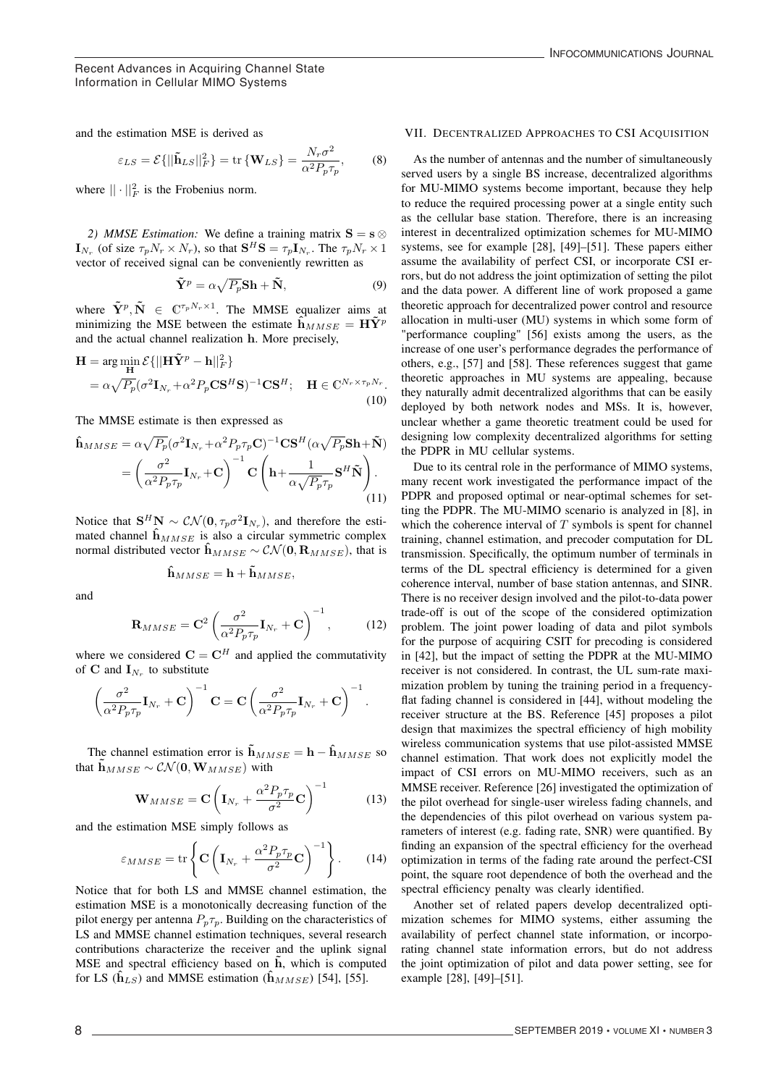$$
\varepsilon_{LS} = \mathcal{E}\{||\tilde{\mathbf{h}}_{LS}||_F^2\} = \text{tr}\left\{\mathbf{W}_{LS}\right\} = \frac{N_r\sigma^2}{\alpha^2 P_p \tau_p},\qquad(8)
$$

where  $\|\cdot\|_F^2$  is the Frobenius norm.

*2) MMSE Estimation:* We define a training matrix  $S = s \otimes$  $\mathbf{I}_{N_r}$  (of size  $\tau_p N_r \times N_r$ ), so that  $\mathbf{S}^H \mathbf{S} = \tau_p \mathbf{I}_{N_r}$ . The  $\tau_p N_r \times 1$ vector of received signal can be conveniently rewritten as

$$
\tilde{\mathbf{Y}}^p = \alpha \sqrt{P_p} \mathbf{S} \mathbf{h} + \tilde{\mathbf{N}},\tag{9}
$$

where  $\tilde{\mathbf{Y}}^p$ ,  $\tilde{\mathbf{N}} \in \mathbb{C}^{\tau_p N_r \times 1}$ . The MMSE equalizer aims at minimizing the MSE between the estimate  $\hat{\mathbf{h}}_{MMSE} = \mathbf{H}\tilde{\mathbf{Y}}^p$ and the actual channel realization h. More precisely,

$$
\mathbf{H} = \arg\min_{\mathbf{H}} \mathcal{E}\{||\mathbf{H}\tilde{\mathbf{Y}}^p - \mathbf{h}||_F^2\}
$$
  
=  $\alpha \sqrt{P_p} (\sigma^2 \mathbf{I}_{N_r} + \alpha^2 P_p \mathbf{C} \mathbf{S}^H \mathbf{S})^{-1} \mathbf{C} \mathbf{S}^H$ ;  $\mathbf{H} \in \mathbb{C}^{N_r \times \tau_p N_r}$ . (10)

The MMSE estimate is then expressed as

$$
\hat{\mathbf{h}}_{MMSE} = \alpha \sqrt{P_p} (\sigma^2 \mathbf{I}_{N_r} + \alpha^2 P_p \tau_p \mathbf{C})^{-1} \mathbf{C} \mathbf{S}^H (\alpha \sqrt{P_p} \mathbf{S} \mathbf{h} + \tilde{\mathbf{N}})
$$
\n
$$
= \left(\frac{\sigma^2}{\alpha^2 P_p \tau_p} \mathbf{I}_{N_r} + \mathbf{C}\right)^{-1} \mathbf{C} \left(\mathbf{h} + \frac{1}{\alpha \sqrt{P_p} \tau_p} \mathbf{S}^H \tilde{\mathbf{N}}\right). \tag{11}
$$

Notice that  $S^H N \sim \mathcal{CN}(\mathbf{0}, \tau_p \sigma^2 \mathbf{I}_{N_p})$ , and therefore the estimated channel  $\hat{h}_{MMSE}$  is also a circular symmetric complex normal distributed vector  $\hat{\mathbf{h}}_{MMSE} \sim \mathcal{CN}(\mathbf{0}, \mathbf{R}_{MMSE})$ , that is

$$
\hat{\mathbf{h}}_{MMSE} = \mathbf{h} + \tilde{\mathbf{h}}_{MMSE},
$$

and

$$
\mathbf{R}_{MMSE} = \mathbf{C}^2 \left( \frac{\sigma^2}{\alpha^2 P_p \tau_p} \mathbf{I}_{N_r} + \mathbf{C} \right)^{-1},\tag{12}
$$

where we considered  $\mathbf{C} = \mathbf{C}^H$  and applied the commutativity of C and  $I_{N_n}$  to substitute

$$
\left(\frac{\sigma^2}{\alpha^2 P_p \tau_p} \mathbf{I}_{N_r} + \mathbf{C}\right)^{-1} \mathbf{C} = \mathbf{C} \left(\frac{\sigma^2}{\alpha^2 P_p \tau_p} \mathbf{I}_{N_r} + \mathbf{C}\right)^{-1}.
$$

The channel estimation error is  $\tilde{\mathbf{h}}_{MMSE} = \mathbf{h} - \hat{\mathbf{h}}_{MMSE}$  so that  $\tilde{\mathbf{h}}_{MMSE} \sim \mathcal{CN}(\mathbf{0}, \mathbf{W}_{MMSE})$  with

$$
\mathbf{W}_{MMSE} = \mathbf{C} \left( \mathbf{I}_{N_r} + \frac{\alpha^2 P_p \tau_p}{\sigma^2} \mathbf{C} \right)^{-1}
$$
(13)

and the estimation MSE simply follows as

$$
\varepsilon_{MMSE} = \text{tr}\left\{ \mathbf{C} \left( \mathbf{I}_{N_r} + \frac{\alpha^2 P_p \tau_p}{\sigma^2} \mathbf{C} \right)^{-1} \right\}.
$$
 (14)

7

Notice that for both LS and MMSE channel estimation, the estimation MSE is a monotonically decreasing function of the pilot energy per antenna  $P_p \tau_p$ . Building on the characteristics of LS and MMSE channel estimation techniques, several research contributions characterize the receiver and the uplink signal  $MSE$  and spectral efficiency based on  $\overline{h}$ , which is computed for LS ( $\hat{h}_{LS}$ ) and MMSE estimation ( $\hat{h}_{MMSE}$ ) [54], [55].

#### INFOCOMMUNICATIONS JOURNAL

### VII. DECENTRALIZED APPROACHES TO CSI ACQUISITION

As the number of antennas and the number of simultaneously served users by a single BS increase, decentralized algorithms for MU-MIMO systems become important, because they help to reduce the required processing power at a single entity such as the cellular base station. Therefore, there is an increasing interest in decentralized optimization schemes for MU-MIMO systems, see for example [28], [49]–[51]. These papers either assume the availability of perfect CSI, or incorporate CSI errors, but do not address the joint optimization of setting the pilot and the data power. A different line of work proposed a game theoretic approach for decentralized power control and resource allocation in multi-user (MU) systems in which some form of "performance coupling" [56] exists among the users, as the increase of one user's performance degrades the performance of others, e.g., [57] and [58]. These references suggest that game theoretic approaches in MU systems are appealing, because they naturally admit decentralized algorithms that can be easily deployed by both network nodes and MSs. It is, however, unclear whether a game theoretic treatment could be used for designing low complexity decentralized algorithms for setting the PDPR in MU cellular systems.

Due to its central role in the performance of MIMO systems, many recent work investigated the performance impact of the PDPR and proposed optimal or near-optimal schemes for setting the PDPR. The MU-MIMO scenario is analyzed in [8], in which the coherence interval of  $T$  symbols is spent for channel training, channel estimation, and precoder computation for DL transmission. Specifically, the optimum number of terminals in terms of the DL spectral efficiency is determined for a given coherence interval, number of base station antennas, and SINR. There is no receiver design involved and the pilot-to-data power trade-off is out of the scope of the considered optimization problem. The joint power loading of data and pilot symbols for the purpose of acquiring CSIT for precoding is considered in [42], but the impact of setting the PDPR at the MU-MIMO receiver is not considered. In contrast, the UL sum-rate maximization problem by tuning the training period in a frequencyflat fading channel is considered in [44], without modeling the receiver structure at the BS. Reference [45] proposes a pilot design that maximizes the spectral efficiency of high mobility wireless communication systems that use pilot-assisted MMSE channel estimation. That work does not explicitly model the impact of CSI errors on MU-MIMO receivers, such as an MMSE receiver. Reference [26] investigated the optimization of the pilot overhead for single-user wireless fading channels, and the dependencies of this pilot overhead on various system parameters of interest (e.g. fading rate, SNR) were quantified. By finding an expansion of the spectral efficiency for the overhead optimization in terms of the fading rate around the perfect-CSI point, the square root dependence of both the overhead and the spectral efficiency penalty was clearly identified.

Another set of related papers develop decentralized optimization schemes for MIMO systems, either assuming the availability of perfect channel state information, or incorporating channel state information errors, but do not address the joint optimization of pilot and data power setting, see for example [28], [49]–[51].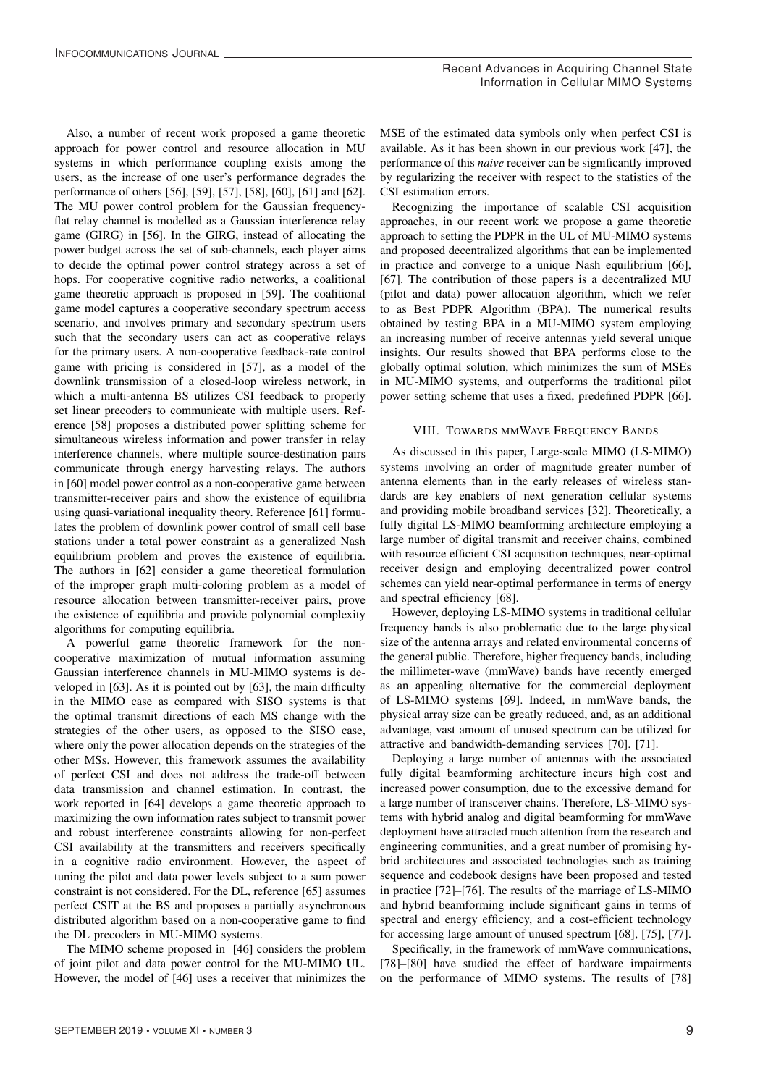Also, a number of recent work proposed a game theoretic approach for power control and resource allocation in MU systems in which performance coupling exists among the users, as the increase of one user's performance degrades the performance of others [56], [59], [57], [58], [60], [61] and [62]. The MU power control problem for the Gaussian frequencyflat relay channel is modelled as a Gaussian interference relay game (GIRG) in [56]. In the GIRG, instead of allocating the power budget across the set of sub-channels, each player aims to decide the optimal power control strategy across a set of hops. For cooperative cognitive radio networks, a coalitional game theoretic approach is proposed in [59]. The coalitional game model captures a cooperative secondary spectrum access scenario, and involves primary and secondary spectrum users such that the secondary users can act as cooperative relays for the primary users. A non-cooperative feedback-rate control game with pricing is considered in [57], as a model of the downlink transmission of a closed-loop wireless network, in which a multi-antenna BS utilizes CSI feedback to properly set linear precoders to communicate with multiple users. Reference [58] proposes a distributed power splitting scheme for simultaneous wireless information and power transfer in relay interference channels, where multiple source-destination pairs communicate through energy harvesting relays. The authors in [60] model power control as a non-cooperative game between transmitter-receiver pairs and show the existence of equilibria using quasi-variational inequality theory. Reference [61] formulates the problem of downlink power control of small cell base stations under a total power constraint as a generalized Nash equilibrium problem and proves the existence of equilibria. The authors in [62] consider a game theoretical formulation of the improper graph multi-coloring problem as a model of resource allocation between transmitter-receiver pairs, prove the existence of equilibria and provide polynomial complexity algorithms for computing equilibria.

A powerful game theoretic framework for the noncooperative maximization of mutual information assuming Gaussian interference channels in MU-MIMO systems is developed in [63]. As it is pointed out by [63], the main difficulty in the MIMO case as compared with SISO systems is that the optimal transmit directions of each MS change with the strategies of the other users, as opposed to the SISO case, where only the power allocation depends on the strategies of the other MSs. However, this framework assumes the availability of perfect CSI and does not address the trade-off between data transmission and channel estimation. In contrast, the work reported in [64] develops a game theoretic approach to maximizing the own information rates subject to transmit power and robust interference constraints allowing for non-perfect CSI availability at the transmitters and receivers specifically in a cognitive radio environment. However, the aspect of tuning the pilot and data power levels subject to a sum power constraint is not considered. For the DL, reference [65] assumes perfect CSIT at the BS and proposes a partially asynchronous distributed algorithm based on a non-cooperative game to find the DL precoders in MU-MIMO systems.

The MIMO scheme proposed in [46] considers the problem of joint pilot and data power control for the MU-MIMO UL. However, the model of [46] uses a receiver that minimizes the

8

MSE of the estimated data symbols only when perfect CSI is available. As it has been shown in our previous work [47], the performance of this *naive* receiver can be significantly improved by regularizing the receiver with respect to the statistics of the CSI estimation errors.

Recognizing the importance of scalable CSI acquisition approaches, in our recent work we propose a game theoretic approach to setting the PDPR in the UL of MU-MIMO systems and proposed decentralized algorithms that can be implemented in practice and converge to a unique Nash equilibrium [66], [67]. The contribution of those papers is a decentralized MU (pilot and data) power allocation algorithm, which we refer to as Best PDPR Algorithm (BPA). The numerical results obtained by testing BPA in a MU-MIMO system employing an increasing number of receive antennas yield several unique insights. Our results showed that BPA performs close to the globally optimal solution, which minimizes the sum of MSEs in MU-MIMO systems, and outperforms the traditional pilot power setting scheme that uses a fixed, predefined PDPR [66].

### VIII. TOWARDS MMWAVE FREQUENCY BANDS

As discussed in this paper, Large-scale MIMO (LS-MIMO) systems involving an order of magnitude greater number of antenna elements than in the early releases of wireless standards are key enablers of next generation cellular systems and providing mobile broadband services [32]. Theoretically, a fully digital LS-MIMO beamforming architecture employing a large number of digital transmit and receiver chains, combined with resource efficient CSI acquisition techniques, near-optimal receiver design and employing decentralized power control schemes can yield near-optimal performance in terms of energy and spectral efficiency [68].

However, deploying LS-MIMO systems in traditional cellular frequency bands is also problematic due to the large physical size of the antenna arrays and related environmental concerns of the general public. Therefore, higher frequency bands, including the millimeter-wave (mmWave) bands have recently emerged as an appealing alternative for the commercial deployment of LS-MIMO systems [69]. Indeed, in mmWave bands, the physical array size can be greatly reduced, and, as an additional advantage, vast amount of unused spectrum can be utilized for attractive and bandwidth-demanding services [70], [71].

Deploying a large number of antennas with the associated fully digital beamforming architecture incurs high cost and increased power consumption, due to the excessive demand for a large number of transceiver chains. Therefore, LS-MIMO systems with hybrid analog and digital beamforming for mmWave deployment have attracted much attention from the research and engineering communities, and a great number of promising hybrid architectures and associated technologies such as training sequence and codebook designs have been proposed and tested in practice [72]–[76]. The results of the marriage of LS-MIMO and hybrid beamforming include significant gains in terms of spectral and energy efficiency, and a cost-efficient technology for accessing large amount of unused spectrum [68], [75], [77].

Specifically, in the framework of mmWave communications, [78]–[80] have studied the effect of hardware impairments on the performance of MIMO systems. The results of [78]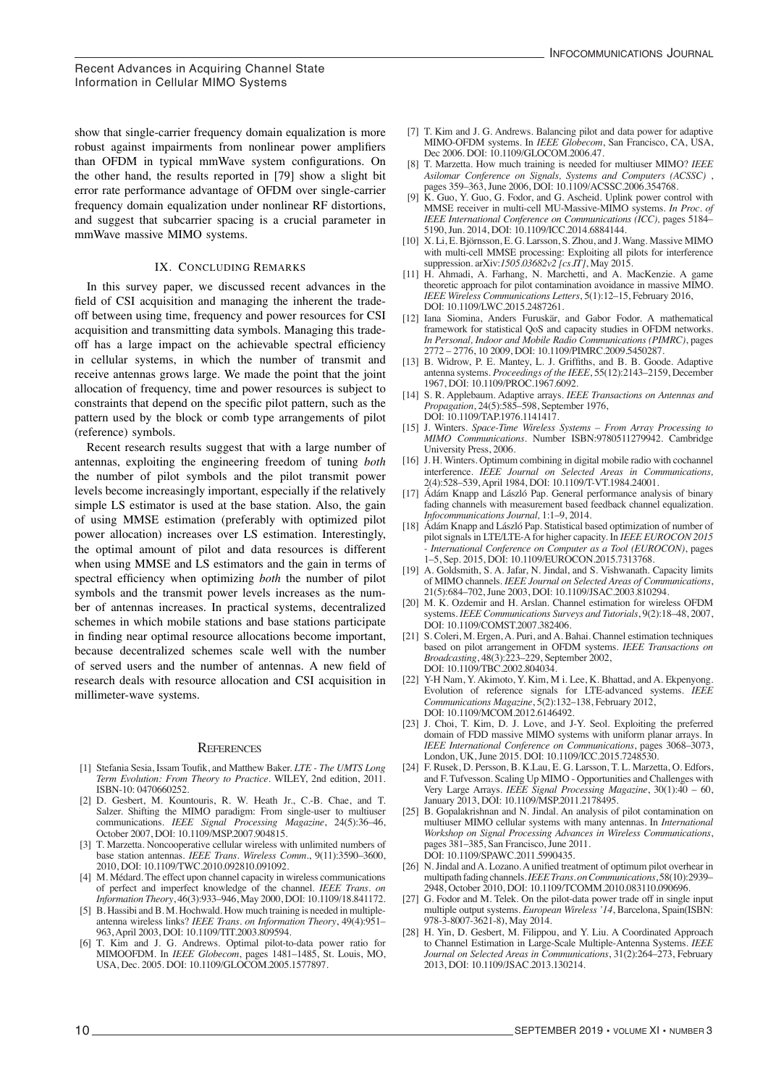show that single-carrier frequency domain equalization is more robust against impairments from nonlinear power amplifiers than OFDM in typical mmWave system configurations. On the other hand, the results reported in [79] show a slight bit error rate performance advantage of OFDM over single-carrier frequency domain equalization under nonlinear RF distortions, and suggest that subcarrier spacing is a crucial parameter in mmWave massive MIMO systems.

#### IX. CONCLUDING REMARKS

In this survey paper, we discussed recent advances in the field of CSI acquisition and managing the inherent the tradeoff between using time, frequency and power resources for CSI acquisition and transmitting data symbols. Managing this tradeoff has a large impact on the achievable spectral efficiency in cellular systems, in which the number of transmit and receive antennas grows large. We made the point that the joint allocation of frequency, time and power resources is subject to constraints that depend on the specific pilot pattern, such as the pattern used by the block or comb type arrangements of pilot (reference) symbols.

Recent research results suggest that with a large number of antennas, exploiting the engineering freedom of tuning *both* the number of pilot symbols and the pilot transmit power levels become increasingly important, especially if the relatively simple LS estimator is used at the base station. Also, the gain of using MMSE estimation (preferably with optimized pilot power allocation) increases over LS estimation. Interestingly, the optimal amount of pilot and data resources is different when using MMSE and LS estimators and the gain in terms of spectral efficiency when optimizing *both* the number of pilot symbols and the transmit power levels increases as the number of antennas increases. In practical systems, decentralized schemes in which mobile stations and base stations participate in finding near optimal resource allocations become important, because decentralized schemes scale well with the number of served users and the number of antennas. A new field of research deals with resource allocation and CSI acquisition in millimeter-wave systems.

# $R$ EFERENCES

- [1] Stefania Sesia, Issam Toufik, and Matthew Baker. *LTE The UMTS Long* Term Evolution: From Theory to Practice. WILEY, 2nd edition, 2011. ISBN-10: 0470660252. Stefania Sesia, Issam To
- $[2]$  D. Gesbert, M. Kountouris, R. W. Heath Jr., C.-B. Chae, and T.  $[2]$  D. Gesbert, M. Kountouris, R. W. Heath Jr., C.-B. Chae, and T. Salzer. Shifting the MIMO paradigm: From single-user to multiuser communications. *IEEE Signal Processing Magazine*, 24(5):36-46, October 2007, [DOI: 10.1109/MSP.2007.904815](http://doi.org/10.1109/MSP.2007.904815). D. Gesbert, M. Kountouris, R. W. Heath Jr., C.-B. Chae, and T.
- [3] T. Marzetta. Noncooperative cellular wireless with unlimited numbers of base station antennas. *IEEE Trans. Wireless Comm.*, 9(11):3590–3600, 2010, DOI: 10.1109/TWC.2010.092810.091092. of pe[rfect and imperfect knowledge of the ch](http://doi.org/10.1109/TWC.2010.092810.091092)annel. *IEEE Trans. on*
- [4] M. Médard. The effect upon channel capacity in wireless communications of perfect and imperfect knowledge of the channel. IEEE Trans. on *Information Theory,* 46(3):933–946, May 2000, [DOI: 10.1109/18.841172](http://doi.org/10.1109/18.841172).
- [5] B. Hassibi and B. M. Hochwald. How much training is needed in multipleantenna wireless links? *IEEE Trans. on Information Theory*, 49(4):951– 963, April 2003, [DOI: 10.1109/TIT.2003.809594](http://doi.org/10.1109/TIT.2003.809594).
- [6] T. Kim and J. G. Andrews. Optimal pilot-to-data power ratio for T. Kim and J. G. Andrews. Optimal pilot-to-data power ratio for<br>MIMOOFDM. In *IEEE Globecom*, pages 1481–1485, St. Louis, MO, USA, Dec. 2005. [DOI: 10.1109/GLOCOM.2005.1577897](http://doi.org/10.1109/GLOCOM.2005.1577897). MIMOOFDM. In *IEEE Globecom*, pages 1481–1485, St. Louis, MO,

9

- [7] T. Kim and J. G. Andrews. Balancing pilot and data power for adaptive MIMO-OFDM systems. In *IEEE Globecom*, San Francisco, CA, USA, Dec 2006. DOI: 10.1109/GLOCOM.2006.47.
- [8] T. Marzetta. How much training is needed for multiuser MIMO? *IEEE* Asilomar Conference on Signals, Systems and Computers (ACSSC), pages 359–363, June 2006, DOI: 10.1109/ACSSC.2006.354768.
- [9] K. Guo, Y. Guo, G. Fodor, and G. Ascheid. Uplink power control with MMSE receiver in multi-cell MU-Massive-MIMO systems. *In Proc. of* **E.** E. Björnsson, S. Larson, S. Larson, S. Larson, S. Larson, S. Larson, S. Larson, S. Larson, S. Larson, S. Larson, S. Larson, S. Larson, S. Larson, S. L *IEEE International Conference on Communications (ICC), pages 5184–* 5190, Jun. 2014, DOI: 10.1109/ICC.2014.6884144.
- [10]  $X. Li, E. Björnsson, E. G. Larsson, S. Zhou, and J. Wang. Massive MIMO$ with multi-cell MMSE processing: Exploiting all pilots for interference suppression. arXiv:*1505.03682v2 [cs.IT]*, May 2015.
- suppression. arxiv.1505.05062*v2* [es.11], May 2015.<br>[11] H. Ahmadi, A. Farhang, N. Marchetti, and A. MacKenzie. A game theoretic approach for pilot contamination avoidance in massive MIMO.<br> $H E E W_{\text{rad}} = G \text{ (magnation)}$ *IEEE Wireless Communications Letters*, 5(1):12–15, February 2016,<br>DOJ:10.1100/LWC 2015 2487261 DOI: 10.1109/LWC.2015.2487261.  $\overline{a}$ . Animadi,  $\overline{a}$ . Famang,  $\overline{a}$ . Iv
- EU. 10.1109/LWC.2015.2487201.<br>[12] Iana Siomina, Anders Furuskär, and Gabor Fodor. A mathematical framework for statistical QoS and capacity studies in OFDM networks. *In Personal, Indoor and Mobile Radio Communications (PIMRC), pages In Personal, Indoor and Mobile Radio Communications (PIMRC), pages* 2772 – 2776, 10 2009, DOI: 10.1109/PIMRC.2009.5450287.  $2777$   $2777$   $2777$   $2777$   $2777$   $2777$   $2777$   $2777$   $2777$   $2777$   $2777$   $2777$   $2777$   $2777$
- $2772 2776$ , to 2009, DOI:10.1109/11NKC.2009.34.0267.<br>[13] B. Widrow, P. E. Mantey, L. J. Griffiths, and B. B. Goode. Adaptive antenna systems. *Proceedings of the IEEE*, 55(12):2143–2159, December arraystems. *Proceedings of the IEEE*, 55(12):2143–2159, December 1967, DOI: 10.1109/PROC.1967.6092. antenna systems. *Procedangs of the IEEE*, 33(12):2143–2133, December<br>1067–DOL 10.1100/DDOC 1067-6002
- 1307, BOI: 10.1109/TROC.1307.0032.<br>[14] S. R. Applebaum. Adaptive arrays. *IEEE Transactions on Antennas and* Propagation, 24(5):585–598, September 1976, *Propaganon*, 2-(3).585-550, September 1570, DOI: 10.1109/TAP.1976.1141417.
- [15] J. Winters. *Space-Time Wireless Systems From Array Processing to MIMO Communications*. Number ISBN:9780511279942. Cambridge University Press, 2006. Interference Communications. Framour Room, Food Horse, Camonage
- [16] J. H. Winters. Optimum combining in digital mobile radio with cochannel interference. *IEEE Journal on Selected Areas in Communications*, 2(4):528–539, April 1984, [DOI: 10.1109/T-VT.1984.24001](http://doi.org/10.1109/T-VT.1984.24001).
- [17] Ádám Knapp and László Pap. General performance analysis of binary *Infocommunications Journal*, 1:1–9, 2014. fading channels with measurement based feedback channel equalization. *Infocommunications Journal*, 1:1–9, 2014.
- [18] Ádám Knapp and László Pap. Statistical based optimization of number of pilot signals in LTE/LTE-A for higher capacity. In *IEEE EUROCON* 2015 <sup>1</sup> International Conference on Computer as a Tool (EUROCON), pages 1–5, Sep. 2015, [DOI: 10.1109/EUROCON.2015.7313768](http://doi.org/10.1109/EUROCON.2015.7313768).
- [19] A. Goldsmith, S. A. Jafar, N. Jindal, and S. Vishwanath. Capacity limits of MIMO channels. *IEEE Journal on Selected Areas of Communications*, 21(5):684–702, June 2003, [DOI: 10.1109/JSAC.2003.810294](http://doi.org/10.1109/JSAC.2003.810294).
- [20] M. K. Ozdemir and H. Arslan. Channel estimation for wireless OFDM systems. *IEEE Communications Surveys and Tutorials*, 9(2):18–48, 2007, [DOI: 10.1109/COMST.2007.382406](http://doi.org/10.1109/COMST.2007.382406).
- [21] S. Coleri, M. Ergen, A. Puri, and A. Bahai. Channel estimation techniques based on pilot arrangement in OFDM systems. IEEE Transactions on *Broadcasting*, 48(3):223-229, September 2002, [DOI: 10.1109/TBC.2002.804034](http://doi.org/10.1109/TBC.2002.804034).
- [22] Y-H Nam, Y. Akimoto, Y. Kim, M i. Lee, K. Bhattad, and A. Ekpenyong. Evolution of reference signals for LTE-advanced systems. *IEEE Communications Magazine*,  $\frac{5}{2}$ :132-138, February 2012, [DOI: 10.1109/MCOM.2012.6146492](http://doi.org/10.1109/MCOM.2012.6146492).
- [23] J. Choi, T. Kim, D. J. Love, and J-Y. Seol. Exploiting the preferred domain of FDD massive MIMO systems with uniform planar arrays. In IEEE International Conference on Communications, pages 3068-3073, London, UK, June 2015. [DOI: 10.1109/ICC.2015.7248530](http://doi.org/10.1109/ICC.2015.7248530).
- [24] F. Rusek, D. Persson, B. K.Lau, E. G. Larsson, T. L. Marzetta, O. Edfors, and F. Tufvesson. Scaling Up MIMO - Opportunities and Challenges with Very Large Arrays. *IEEE Signal Processing Magazine*, 30(1):40 – 60, January 2013, [DOI: 10.1109/MSP.2011.2178495](http://doi.org/10.1109/MSP.2011.2178495).
- [25] B. Gopalakrishnan and N. Jindal. An analysis of pilot contamination on multiuser MIMO cellular systems with many antennas. In *International* Workshop on Signal Processing Advances in Wireless Communications, pages 381–385, San Francisco, June 2011. [DOI: 10.1109/SPAWC.2011.5990435](http://doi.org/10.1109/SPAWC.2011.5990435).
- [26] N. Jindal and A. Lozano. A unified treatment of optimum pilot overhear in multipath fading channels. *IEEE Trans. on Communications*, 58(10):2939-2948, October 2010, [DOI: 10.1109/TCOMM.2010.083110.090696](http://doi.org/10.1109/TCOMM.2010.083110.090696).
- [27] G. Fodor and M. Telek. On the pilot-data power trade off in single input multiple output systems. *European Wireless '14*, Barcelona, Spain(ISBN: 978-3-8007-3621-8), May 2014.
- [28] H. Yin, D. Gesbert, M. Filippou, and Y. Liu. A Coordinated Approach to Channel Estimation in Large-Scale Multiple-Antenna Systems. IEEE *Journal on Selected Areas in Communications*, 31(2):264–273, February 2013, [DOI: 10.1109/JSAC.2013.130214](http://doi.org/10.1109/JSAC.2013.130214).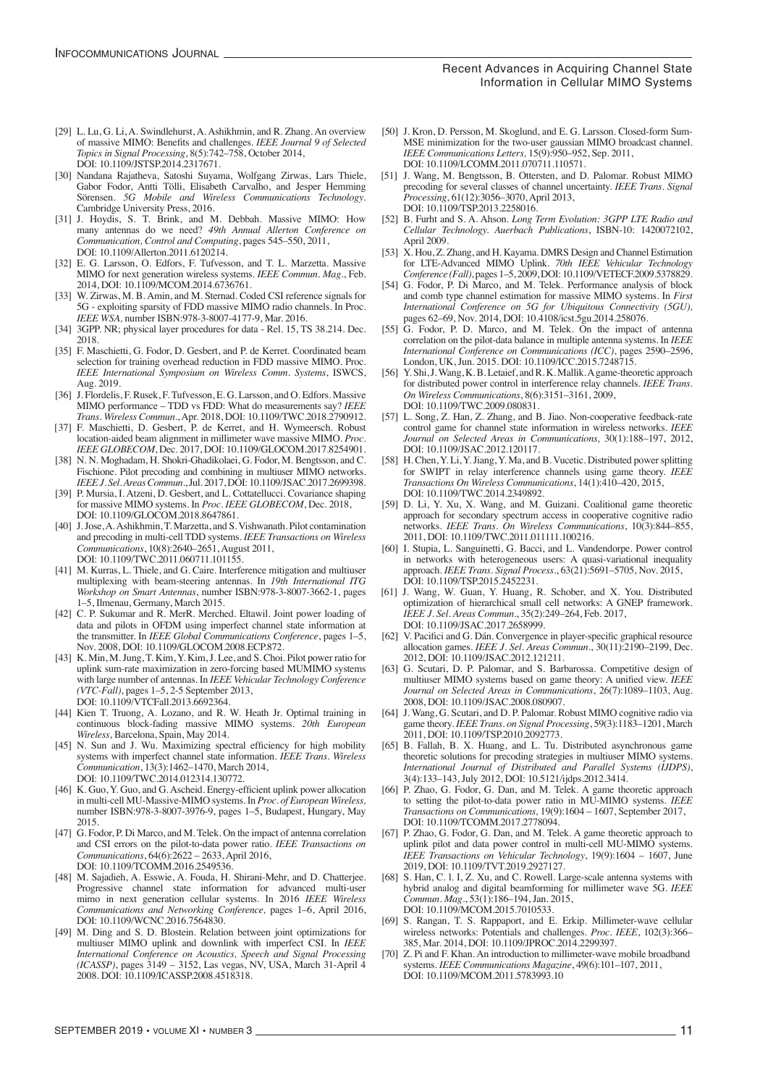#### Recent Advances in Acquiring Channel State Information in Cellular MIMO Systems

- [29] L. Lu, G. Li, A. Swindlehurst, A. Ashikhmin, and R. Zhang. An overview of massive MIMO: Benefits and challenges. *IEEE Journal 9 of Selected Topics in Signal Processing*, 8(5):742–758, October 2014, [DOI: 10.1109/JSTSP.2014.2317671](http://doi.org/10.1109/JSTSP.2014.2317671).
- [30] Nandana Rajatheva, Satoshi Suyama, Wolfgang Zirwas, Lars Thiele, Gabor Fodor, Antti Tölli, Elisabeth Carvalho, and Jesper Hemming Sörensen. *5G Mobile and Wireless Communications Technology*. Cambridge University Press, 2016.
- [31] J. Hoydis, S. T. Brink, and M. Debbah. Massive MIMO: How many antennas do we need? *49th Annual Allerton Conference on Communication, Control and Computing*, pages 545–550, 2011, [DOI: 10.1109/Allerton.2011.6120214](http://doi.org/10.1109/Allerton.2011.6120214).
- [32] E. G. Larsson, O. Edfors, F. Tufvesson, and T. L. Marzetta. Massive MIMO for next generation wireless systems. *IEEE Commun. Mag.*, Feb. 2014, [DOI: 10.1109/MCOM.2014.6736761](http://doi.org/10.1109/MCOM.2014.6736761).
- [33] W. Zirwas, M. B. Amin, and M. Sternad. Coded CSI reference signals for 5G - exploiting sparsity of FDD massive MIMO radio channels. In Proc. *IEEE WSA,* number ISBN:978-3-8007-4177-9, Mar. 2016.
- [34] 3GPP. NR; physical layer procedures for data Rel. 15, TS 38.214. Dec. 2018.
- [35] F. Maschietti, G. Fodor, D. Gesbert, and P. de Kerret. Coordinated beam selection for training overhead reduction in FDD massive MIMO. Proc. *IEEE International Symposium on Wireless Comm. Systems*, ISWCS, Aug. 2019.
- [36] J. Flordelis, F. Rusek, F. Tufvesson, E. G. Larsson, and O. Edfors. Massive MIMO performance – TDD vs FDD: What do measurements say? *IEEE Trans. Wireless Commun.*, Apr. 2018, [DOI: 10.1109/TWC.2018.2790912](http://doi.org/10.1109/TWC.2018.2790912).
- [37] F. Maschietti, D. Gesbert, P. de Kerret, and H. Wymeersch. Robust location-aided beam alignment in millimeter wave massive MIMO. *Proc. IEEE GLOBECOM*, Dec. 2017, [DOI: 10.1109/GLOCOM.2017.8254901](http://doi.org/10.1109/GLOCOM.2017.8254901).
- [38] N. N. Moghadam, H. Shokri-Ghadikolaei, G. Fodor, M. Bengtsson, and C. Fischione. Pilot precoding and combining in multiuser MIMO networks. *IEEE J. Sel. Areas Commun*., Jul. 2017, [DOI: 10.1109/JSAC.2017.2699398](http://doi.org/10.1109/JSAC.2017.2699398).
- [39] P. Mursia, I. Atzeni, D. Gesbert, and L. Cottatellucci. Covariance shaping for massive MIMO systems. In *Proc. IEEE GLOBECOM*, Dec. 2018, [DOI: 10.1109/GLOCOM.2018.8647861](http://doi.org/10.1109/GLOCOM.2018.8647861).
- [40] J. Jose, A. Ashikhmin, T. Marzetta, and S. Vishwanath. Pilot contamination and precoding in multi-cell TDD systems. *IEEE Transactions on Wireless Communications*, 10(8):2640–2651, August 2011, [DOI: 10.1109/TWC.2011.060711.101155](http://doi.org/10.1109/TWC.2011.060711.101155).
- [41] M. Kurras, L. Thiele, and G. Caire. Interference mitigation and multiuser multiplexing with beam-steering antennas. In *19th International ITG Workshop on Smart Antennas*, number ISBN:978-3-8007-3662-1, pages 1–5, Ilmenau, Germany, March 2015.
- [42] C. P. Sukumar and R. MerR. Merched. Eltawil. Joint power loading of data and pilots in OFDM using imperfect channel state information at the transmitter. In *IEEE Global Communications Conference*, pages 1–5, Nov. 2008, [DOI: 10.1109/GLOCOM.2008.ECP.872](http://doi.org/10.1109/GLOCOM.2008.ECP.872).
- [43] K. Min, M. Jung, T. Kim, Y. Kim, J. Lee, and S. Choi. Pilot power ratio for uplink sum-rate maximization in zero-forcing based MUMIMO systems with large number of antennas. In *IEEE Vehicular Technology Conference (VTC-Fall)*, pages 1–5, 2-5 September 2013, [DOI: 10.1109/VTCFall.2013.6692364](http://doi.org/10.1109/VTCFall.2013.6692364).
- [44] Kien T. Truong, A. Lozano, and R. W. Heath Jr. Optimal training in continuous block-fading massive MIMO systems. *20th European Wireless*, Barcelona, Spain, May 2014.
- [45] N. Sun and J. Wu. Maximizing spectral efficiency for high mobility systems with imperfect channel state information. *IEEE Trans. Wireless Communication*, 13(3):1462–1470, March 2014, [DOI: 10.1109/TWC.2014.012314.130772](http://doi.org/10.1109/TWC.2014.012314.130772).
- [46] K. Guo, Y. Guo, and G. Ascheid. Energy-efficient uplink power allocation in multi-cell MU-Massive-MIMO systems. In *Proc. of European Wireless,* number ISBN:978-3-8007-3976-9, pages 1–5, Budapest, Hungary, May 2015.
- [47] G. Fodor, P. Di Marco, and M. Telek. On the impact of antenna correlation and CSI errors on the pilot-to-data power ratio. *IEEE Transactions on Communications*, 64(6):2622 – 2633, April 2016, [DOI: 10.1109/TCOMM.2016.2549536](http://doi.org/10.1109/TCOMM.2016.2549536).
- [48] M. Sajadieh, A. Esswie, A. Fouda, H. Shirani-Mehr, and D. Chatterjee. Progressive channel state information for advanced multi-user mimo in next generation cellular systems. In 2016 *IEEE Wireless Communications and Networking Conference,* pages 1–6, April 2016, [DOI: 10.1109/WCNC.2016.7564830](http://doi.org/10.1109/WCNC.2016.7564830).
- [49] M. Ding and S. D. Blostein. Relation between joint optimizations for multiuser MIMO uplink and downlink with imperfect CSI. In *IEEE International Conference on Acoustics, Speech and Signal Processing (ICASSP)*, pages 3149 – 3152, Las vegas, NV, USA, March 31-April 4 2008. [DOI: 10.1109/ICASSP.2008.4518318](http://doi.org/10.1109/ICASSP.2008.4518318).
- [50] J. Kron, D. Persson, M. Skoglund, and E. G. Larsson. Closed-form Sum-MSE minimization for the two-user gaussian MIMO broadcast channel. *IEEE Communications Letters,* 15(9):950–952, Sep. 2011, [DOI: 10.1109/LCOMM.2011.070711.110571](http://doi.org/10.1109/LCOMM.2011.070711.110571).
- [51] J. Wang, M. Bengtsson, B. Ottersten, and D. Palomar. Robust MIMO precoding for several classes of channel uncertainty. *IEEE Trans. Signal Processing*, 61(12):3056–3070, April 2013,
- [DOI: 10.1109/TSP.2013.2258016](http://doi.org/10.1109/TSP.2013.2258016).<br>[52] B. Furht and S. A. Ahson. *Long* [52] B. Furht and S. A. Ahson. *Long Term Evolution: 3GPP LTE Radio and Cellular Technology. Auerbach Publications*, ISBN-10: 1420072102, April 2009.
- X. Hou, Z. Zhang, and H. Kayama. DMRS Design and Channel Estimation for LTE-Advanced MIMO Uplink. *70th IEEE Vehicular Technology Conference (Fall)*, pages 1–5, 2009, [DOI: 10.1109/VETECF.2009.5378829](http://doi.org/10.1109/VETECF.2009.5378829).
- [54] G. Fodor, P. Di Marco, and M. Telek. Performance analysis of block and comb type channel estimation for massive MIMO systems. In *First International Conference on 5G for Ubiquitous Connectivity (5GU),*  pages 62–69, Nov. 2014, [DOI: 10.4108/icst.5gu.2014.258076](http://doi.org/10.4108/icst.5gu.2014.258076).
- [55] G. Fodor, P. D. Marco, and M. Telek. On the impact of antenna correlation on the pilot-data balance in multiple antenna systems. In *IEEE International Conference on Communications (ICC)*, pages 2590–2596, London, UK, Jun. 2015. [DOI: 10.1109/ICC.2015.7248715](http://doi.org/10.1109/ICC.2015.7248715).
- [56] Y. Shi, J. Wang, K. B. Letaief, and R. K. Mallik. A game-theoretic approach for distributed power control in interference relay channels. *IEEE Trans. On Wireless Communications*, 8(6):3151–3161, 2009, [DOI: 10.1109/TWC.2009.080831](http://doi.org/10.1109/TWC.2009.080831).
- [57] L. Song, Z. Han, Z. Zhang, and B. Jiao. Non-cooperative feedback-rate control game for channel state information in wireless networks. *IEEE Journal on Selected Areas in Communications,* 30(1):188–197, 2012, [DOI: 10.1109/JSAC.2012.120117](http://doi.org/10.1109/JSAC.2012.120117).
- [58] H. Chen, Y. Li, Y. Jiang, Y. Ma, and B. Vucetic. Distributed power splitting for SWIPT in relay interference channels using game theory. *IEEE Transactions On Wireless Communications*, 14(1):410–420, 2015, [DOI: 10.1109/TWC.2014.2349892](http://doi.org/10.1109/TWC.2014.2349892).
- [59] D. Li, Y. Xu, X. Wang, and M. Guizani. Coalitional game theoretic approach for secondary spectrum access in cooperative cognitive radio networks. *IEEE Trans. On Wireless Communications*, 10(3):844–855, 2011, [DOI: 10.1109/TWC.2011.011111.100216](http://doi.org/10.1109/TWC.2011.011111.100216)
- I. Stupia, L. Sanguinetti, G. Bacci, and L. Vandendorpe. Power control in networks with heterogeneous users: A quasi-variational inequality approach. *IEEE Trans. Signal Process.*, 63(21):5691–5705, Nov. 2015, [DOI: 10.1109/TSP.2015.2452231](http://doi.org/10.1109/TSP.2015.2452231).
- [61] J. Wang, W. Guan, Y. Huang, R. Schober, and X. You. Distributed optimization of hierarchical small cell networks: A GNEP framework. *IEEE J. Sel. Areas Commun*., 35(2):249–264, Feb. 2017,
- [DOI: 10.1109/JSAC.2017.2658999](http://doi.org/10.1109/JSAC.2017.2658999).<br>
[62] V. Pacifici and G. Dán. Convergence V. Pacifici and G. Dán. Convergence in player-specific graphical resource allocation games. *IEEE J. Sel. Areas Commun.*, 30(11):2190–2199, Dec. 2012, [DOI: 10.1109/JSAC.2012.121211.](http://doi.org/10.1109/JSAC.2012.121211)
- [63] G. Scutari, D. P. Palomar, and S. Barbarossa. Competitive design of multiuser MIMO systems based on game theory: A unified view. *IEEE Journal on Selected Areas in Communications*, 26(7):1089–1103, Aug. 2008, [DOI: 10.1109/JSAC.2008.080907](http://doi.org/10.1109/JSAC.2008.080907).
- [64] J. Wang, G. Scutari, and D. P. Palomar. Robust MIMO cognitive radio via game theory. *IEEE Trans. on Signal Processing*, 59(3):1183–1201, March 2011, [DOI: 10.1109/TSP.2010.2092773](http://doi.org/10.1109/TSP.2010.2092773).
- [65] B. Fallah, B. X. Huang, and L. Tu. Distributed asynchronous game theoretic solutions for precoding strategies in multiuser MIMO systems. *International Journal of Distributed and Parallel Systems (IJDPS)*, 3(4):133–143, July 2012, [DOI: 10.5121/ijdps.2012.3414](http://doi.org/10.5121/ijdps.2012.3414).
- [66] P. Zhao, G. Fodor, G. Dan, and M. Telek. A game theoretic approach to setting the pilot-to-data power ratio in MU-MIMO systems. *IEEE Transactions on Communications,* 19(9):1604 – 1607, September 2017, [DOI: 10.1109/TCOMM.2017.2778094](http://doi.org/10.1109/TCOMM.2017.2778094).
- [67] P. Zhao, G. Fodor, G. Dan, and M. Telek. A game theoretic approach to uplink pilot and data power control in multi-cell MU-MIMO systems. *IEEE Transactions on Vehicular Technology*, 19(9):1604 – 1607, June 2019, [DOI: 10.1109/TVT.2019.2927127](http://doi.org/10.1109/TVT.2019.2927127).
- [68] S. Han, C. l. I, Z. Xu, and C. Rowell. Large-scale antenna systems with hybrid analog and digital beamforming for millimeter wave 5G. *IEEE Commun. Mag.*, 53(1):186–194, Jan. 2015, [DOI: 10.1109/MCOM.2015.7010533](http://doi.org/10.1109/MCOM.2015.7010533).
- [69] S. Rangan, T. S. Rappaport, and E. Erkip. Millimeter-wave cellular wireless networks: Potentials and challenges. *Proc. IEEE*, 102(3):366– 385, Mar. 2014, [DOI: 10.1109/JPROC.2014.2299397](http://doi.org/10.1109/JPROC.2014.2299397).
- [70] Z. Pi and F. Khan. An introduction to millimeter-wave mobile broadband systems. *IEEE Communications Magazine*, 49(6):101–107, 2011, [DOI: 10.1109/MCOM.2011.5783993.10](http://doi.org/10.1109/MCOM.2011.5783993.10)